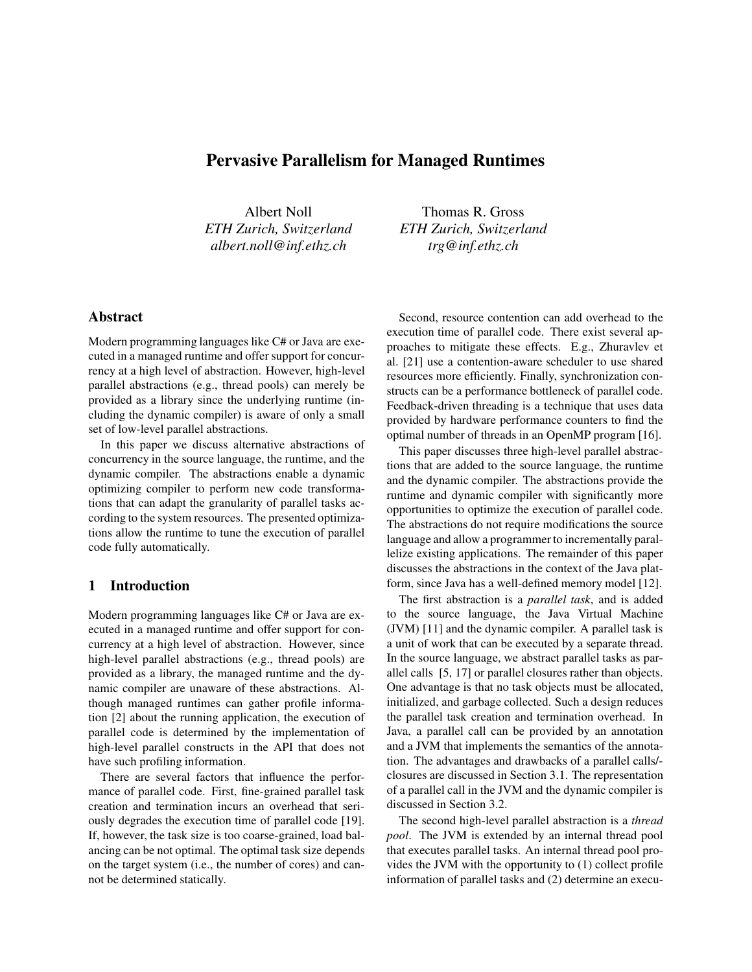# Pervasive Parallelism for Managed Runtimes

Albert Noll *ETH Zurich, Switzerland albert.noll@inf.ethz.ch*

Thomas R. Gross *ETH Zurich, Switzerland trg@inf.ethz.ch*

# Abstract

Modern programming languages like C# or Java are executed in a managed runtime and offer support for concurrency at a high level of abstraction. However, high-level parallel abstractions (e.g., thread pools) can merely be provided as a library since the underlying runtime (including the dynamic compiler) is aware of only a small set of low-level parallel abstractions.

In this paper we discuss alternative abstractions of concurrency in the source language, the runtime, and the dynamic compiler. The abstractions enable a dynamic optimizing compiler to perform new code transformations that can adapt the granularity of parallel tasks according to the system resources. The presented optimizations allow the runtime to tune the execution of parallel code fully automatically.

## 1 Introduction

Modern programming languages like C# or Java are executed in a managed runtime and offer support for concurrency at a high level of abstraction. However, since high-level parallel abstractions (e.g., thread pools) are provided as a library, the managed runtime and the dynamic compiler are unaware of these abstractions. Although managed runtimes can gather profile information [2] about the running application, the execution of parallel code is determined by the implementation of high-level parallel constructs in the API that does not have such profiling information.

There are several factors that influence the performance of parallel code. First, fine-grained parallel task creation and termination incurs an overhead that seriously degrades the execution time of parallel code [19]. If, however, the task size is too coarse-grained, load balancing can be not optimal. The optimal task size depends on the target system (i.e., the number of cores) and cannot be determined statically.

Second, resource contention can add overhead to the execution time of parallel code. There exist several approaches to mitigate these effects. E.g., Zhuravlev et al. [21] use a contention-aware scheduler to use shared resources more efficiently. Finally, synchronization constructs can be a performance bottleneck of parallel code. Feedback-driven threading is a technique that uses data provided by hardware performance counters to find the optimal number of threads in an OpenMP program [16].

This paper discusses three high-level parallel abstractions that are added to the source language, the runtime and the dynamic compiler. The abstractions provide the runtime and dynamic compiler with significantly more opportunities to optimize the execution of parallel code. The abstractions do not require modifications the source language and allow a programmer to incrementally parallelize existing applications. The remainder of this paper discusses the abstractions in the context of the Java platform, since Java has a well-defined memory model [12].

The first abstraction is a *parallel task*, and is added to the source language, the Java Virtual Machine (JVM) [11] and the dynamic compiler. A parallel task is a unit of work that can be executed by a separate thread. In the source language, we abstract parallel tasks as parallel calls [5, 17] or parallel closures rather than objects. One advantage is that no task objects must be allocated, initialized, and garbage collected. Such a design reduces the parallel task creation and termination overhead. In Java, a parallel call can be provided by an annotation and a JVM that implements the semantics of the annotation. The advantages and drawbacks of a parallel calls/ closures are discussed in Section 3.1. The representation of a parallel call in the JVM and the dynamic compiler is discussed in Section 3.2.

The second high-level parallel abstraction is a *thread pool*. The JVM is extended by an internal thread pool that executes parallel tasks. An internal thread pool provides the JVM with the opportunity to (1) collect profile information of parallel tasks and (2) determine an execu-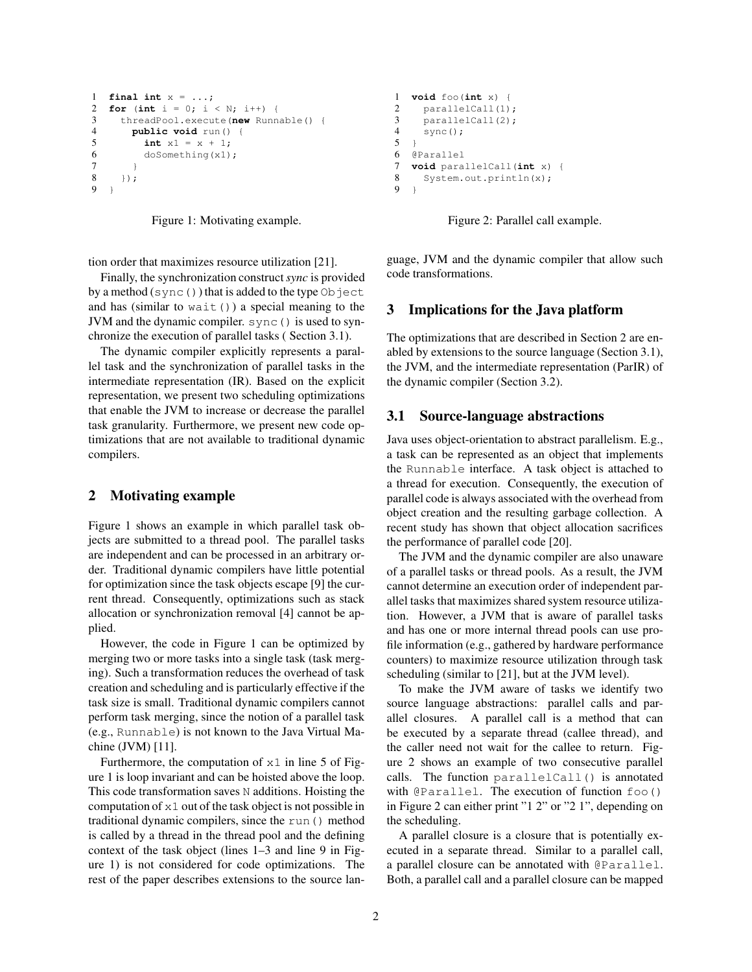```
1 final int x = ...;
2 for (int i = 0; i < N; i++) {
3 threadPool.execute(new Runnable() {
4 public void run() {<br>5 int x1 = x + 1;
        int x1 = x + 1;6 doSomething(x1);
7 }
8 });
9 }
```


tion order that maximizes resource utilization [21].

Finally, the synchronization construct*sync* is provided by a method  $(sync()$ ) that is added to the type Object and has (similar to wait  $()$ ) a special meaning to the JVM and the dynamic compiler. sync() is used to synchronize the execution of parallel tasks ( Section 3.1).

The dynamic compiler explicitly represents a parallel task and the synchronization of parallel tasks in the intermediate representation (IR). Based on the explicit representation, we present two scheduling optimizations that enable the JVM to increase or decrease the parallel task granularity. Furthermore, we present new code optimizations that are not available to traditional dynamic compilers.

### 2 Motivating example

Figure 1 shows an example in which parallel task objects are submitted to a thread pool. The parallel tasks are independent and can be processed in an arbitrary order. Traditional dynamic compilers have little potential for optimization since the task objects escape [9] the current thread. Consequently, optimizations such as stack allocation or synchronization removal [4] cannot be applied.

However, the code in Figure 1 can be optimized by merging two or more tasks into a single task (task merging). Such a transformation reduces the overhead of task creation and scheduling and is particularly effective if the task size is small. Traditional dynamic compilers cannot perform task merging, since the notion of a parallel task (e.g., Runnable) is not known to the Java Virtual Machine (JVM) [11].

Furthermore, the computation of  $x1$  in line 5 of Figure 1 is loop invariant and can be hoisted above the loop. This code transformation saves N additions. Hoisting the computation of  $x1$  out of the task object is not possible in traditional dynamic compilers, since the run() method is called by a thread in the thread pool and the defining context of the task object (lines 1–3 and line 9 in Figure 1) is not considered for code optimizations. The rest of the paper describes extensions to the source lan-

```
1 void foo(int x) {
2 parallelCall(1);
3 parallelCall(2);
4 sync();
5 }
6 @Parallel
7 void parallelCall(int x) {
8 System.out.println(x);
9 }
```
Figure 2: Parallel call example.

guage, JVM and the dynamic compiler that allow such code transformations.

### 3 Implications for the Java platform

The optimizations that are described in Section 2 are enabled by extensions to the source language (Section 3.1), the JVM, and the intermediate representation (ParIR) of the dynamic compiler (Section 3.2).

#### 3.1 Source-language abstractions

Java uses object-orientation to abstract parallelism. E.g., a task can be represented as an object that implements the Runnable interface. A task object is attached to a thread for execution. Consequently, the execution of parallel code is always associated with the overhead from object creation and the resulting garbage collection. A recent study has shown that object allocation sacrifices the performance of parallel code [20].

The JVM and the dynamic compiler are also unaware of a parallel tasks or thread pools. As a result, the JVM cannot determine an execution order of independent parallel tasks that maximizes shared system resource utilization. However, a JVM that is aware of parallel tasks and has one or more internal thread pools can use profile information (e.g., gathered by hardware performance counters) to maximize resource utilization through task scheduling (similar to [21], but at the JVM level).

To make the JVM aware of tasks we identify two source language abstractions: parallel calls and parallel closures. A parallel call is a method that can be executed by a separate thread (callee thread), and the caller need not wait for the callee to return. Figure 2 shows an example of two consecutive parallel calls. The function parallelCall() is annotated with @Parallel. The execution of function foo () in Figure 2 can either print "1 2" or "2 1", depending on the scheduling.

A parallel closure is a closure that is potentially executed in a separate thread. Similar to a parallel call, a parallel closure can be annotated with @Parallel. Both, a parallel call and a parallel closure can be mapped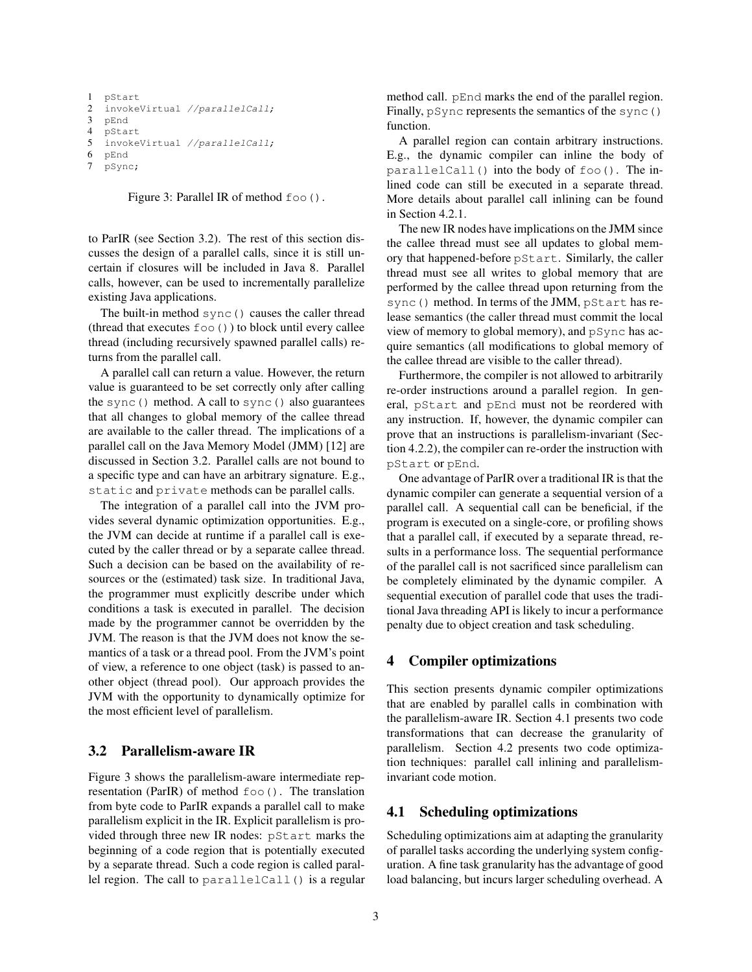```
1 pStart
2 invokeVirtual //parallelCall;
3 pEnd
4 pStart
5 invokeVirtual //parallelCall;
6 pEnd
7 pSync;
```
Figure 3: Parallel IR of method  $f \circ \circ$  ().

to ParIR (see Section 3.2). The rest of this section discusses the design of a parallel calls, since it is still uncertain if closures will be included in Java 8. Parallel calls, however, can be used to incrementally parallelize existing Java applications.

The built-in method sync() causes the caller thread (thread that executes foo()) to block until every callee thread (including recursively spawned parallel calls) returns from the parallel call.

A parallel call can return a value. However, the return value is guaranteed to be set correctly only after calling the sync() method. A call to sync() also guarantees that all changes to global memory of the callee thread are available to the caller thread. The implications of a parallel call on the Java Memory Model (JMM) [12] are discussed in Section 3.2. Parallel calls are not bound to a specific type and can have an arbitrary signature. E.g., static and private methods can be parallel calls.

The integration of a parallel call into the JVM provides several dynamic optimization opportunities. E.g., the JVM can decide at runtime if a parallel call is executed by the caller thread or by a separate callee thread. Such a decision can be based on the availability of resources or the (estimated) task size. In traditional Java, the programmer must explicitly describe under which conditions a task is executed in parallel. The decision made by the programmer cannot be overridden by the JVM. The reason is that the JVM does not know the semantics of a task or a thread pool. From the JVM's point of view, a reference to one object (task) is passed to another object (thread pool). Our approach provides the JVM with the opportunity to dynamically optimize for the most efficient level of parallelism.

## 3.2 Parallelism-aware IR

Figure 3 shows the parallelism-aware intermediate representation (ParIR) of method  $f \circ \circ$  (). The translation from byte code to ParIR expands a parallel call to make parallelism explicit in the IR. Explicit parallelism is provided through three new IR nodes: pStart marks the beginning of a code region that is potentially executed by a separate thread. Such a code region is called parallel region. The call to parallelCall() is a regular method call. pEnd marks the end of the parallel region. Finally, pSync represents the semantics of the sync() function.

A parallel region can contain arbitrary instructions. E.g., the dynamic compiler can inline the body of parallelCall() into the body of foo(). The inlined code can still be executed in a separate thread. More details about parallel call inlining can be found in Section 4.2.1.

The new IR nodes have implications on the JMM since the callee thread must see all updates to global memory that happened-before pStart. Similarly, the caller thread must see all writes to global memory that are performed by the callee thread upon returning from the sync() method. In terms of the JMM, pStart has release semantics (the caller thread must commit the local view of memory to global memory), and pSync has acquire semantics (all modifications to global memory of the callee thread are visible to the caller thread).

Furthermore, the compiler is not allowed to arbitrarily re-order instructions around a parallel region. In general, pStart and pEnd must not be reordered with any instruction. If, however, the dynamic compiler can prove that an instructions is parallelism-invariant (Section 4.2.2), the compiler can re-order the instruction with pStart or pEnd.

One advantage of ParIR over a traditional IR is that the dynamic compiler can generate a sequential version of a parallel call. A sequential call can be beneficial, if the program is executed on a single-core, or profiling shows that a parallel call, if executed by a separate thread, results in a performance loss. The sequential performance of the parallel call is not sacrificed since parallelism can be completely eliminated by the dynamic compiler. A sequential execution of parallel code that uses the traditional Java threading API is likely to incur a performance penalty due to object creation and task scheduling.

### 4 Compiler optimizations

This section presents dynamic compiler optimizations that are enabled by parallel calls in combination with the parallelism-aware IR. Section 4.1 presents two code transformations that can decrease the granularity of parallelism. Section 4.2 presents two code optimization techniques: parallel call inlining and parallelisminvariant code motion.

#### 4.1 Scheduling optimizations

Scheduling optimizations aim at adapting the granularity of parallel tasks according the underlying system configuration. A fine task granularity has the advantage of good load balancing, but incurs larger scheduling overhead. A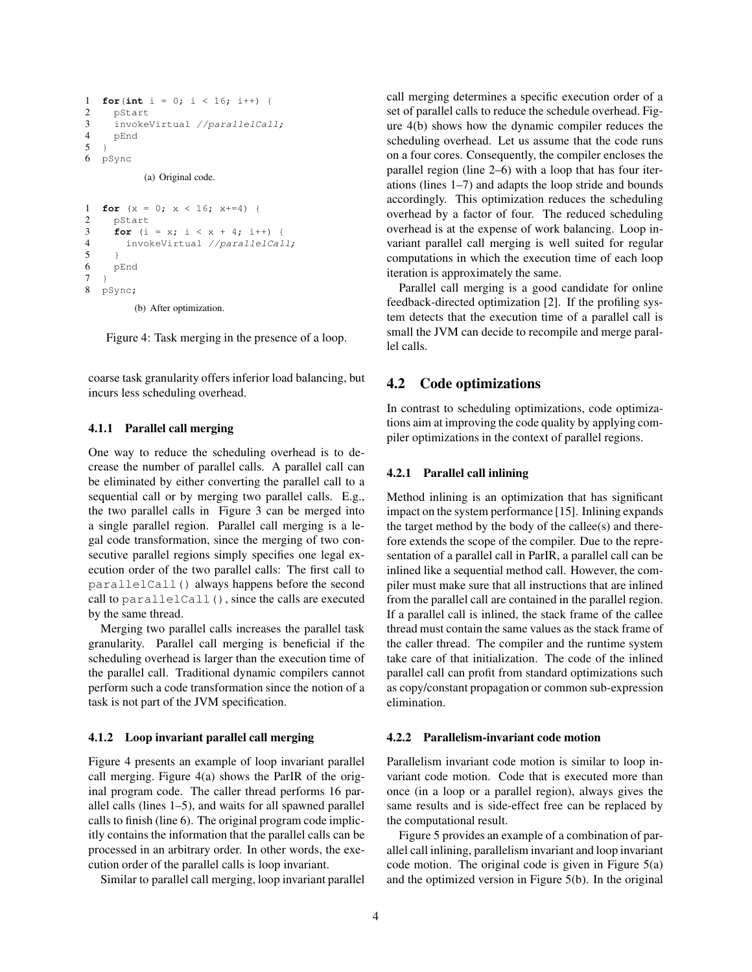```
1 for (int i = 0; i < 16; i++) {
2 pStart
3 invokeVirtual //parallelCall;
\begin{array}{cc} 4 & \text{pEnd} \\ 5 & \text{1} \end{array}\overline{1}6 pSync
```
(a) Original code.

```
1 for (x = 0; x < 16; x+=4)2 pStart
3 for (i = x; i < x + 4; i++)4 invokeVirtual //parallelCall;
5 }
6 pEnd
7 }
8 pSync;
```
(b) After optimization.

Figure 4: Task merging in the presence of a loop.

coarse task granularity offers inferior load balancing, but incurs less scheduling overhead.

#### 4.1.1 Parallel call merging

One way to reduce the scheduling overhead is to decrease the number of parallel calls. A parallel call can be eliminated by either converting the parallel call to a sequential call or by merging two parallel calls. E.g., the two parallel calls in Figure 3 can be merged into a single parallel region. Parallel call merging is a legal code transformation, since the merging of two consecutive parallel regions simply specifies one legal execution order of the two parallel calls: The first call to parallelCall() always happens before the second call to parallelCall(), since the calls are executed by the same thread.

Merging two parallel calls increases the parallel task granularity. Parallel call merging is beneficial if the scheduling overhead is larger than the execution time of the parallel call. Traditional dynamic compilers cannot perform such a code transformation since the notion of a task is not part of the JVM specification.

#### 4.1.2 Loop invariant parallel call merging

Figure 4 presents an example of loop invariant parallel call merging. Figure 4(a) shows the ParIR of the original program code. The caller thread performs 16 parallel calls (lines 1–5), and waits for all spawned parallel calls to finish (line 6). The original program code implicitly contains the information that the parallel calls can be processed in an arbitrary order. In other words, the execution order of the parallel calls is loop invariant.

Similar to parallel call merging, loop invariant parallel

call merging determines a specific execution order of a set of parallel calls to reduce the schedule overhead. Figure 4(b) shows how the dynamic compiler reduces the scheduling overhead. Let us assume that the code runs on a four cores. Consequently, the compiler encloses the parallel region (line 2–6) with a loop that has four iterations (lines 1–7) and adapts the loop stride and bounds accordingly. This optimization reduces the scheduling overhead by a factor of four. The reduced scheduling overhead is at the expense of work balancing. Loop invariant parallel call merging is well suited for regular computations in which the execution time of each loop iteration is approximately the same.

Parallel call merging is a good candidate for online feedback-directed optimization [2]. If the profiling system detects that the execution time of a parallel call is small the JVM can decide to recompile and merge parallel calls.

### 4.2 Code optimizations

In contrast to scheduling optimizations, code optimizations aim at improving the code quality by applying compiler optimizations in the context of parallel regions.

#### 4.2.1 Parallel call inlining

Method inlining is an optimization that has significant impact on the system performance [15]. Inlining expands the target method by the body of the callee(s) and therefore extends the scope of the compiler. Due to the representation of a parallel call in ParIR, a parallel call can be inlined like a sequential method call. However, the compiler must make sure that all instructions that are inlined from the parallel call are contained in the parallel region. If a parallel call is inlined, the stack frame of the callee thread must contain the same values as the stack frame of the caller thread. The compiler and the runtime system take care of that initialization. The code of the inlined parallel call can profit from standard optimizations such as copy/constant propagation or common sub-expression elimination.

#### 4.2.2 Parallelism-invariant code motion

Parallelism invariant code motion is similar to loop invariant code motion. Code that is executed more than once (in a loop or a parallel region), always gives the same results and is side-effect free can be replaced by the computational result.

Figure 5 provides an example of a combination of parallel call inlining, parallelism invariant and loop invariant code motion. The original code is given in Figure 5(a) and the optimized version in Figure 5(b). In the original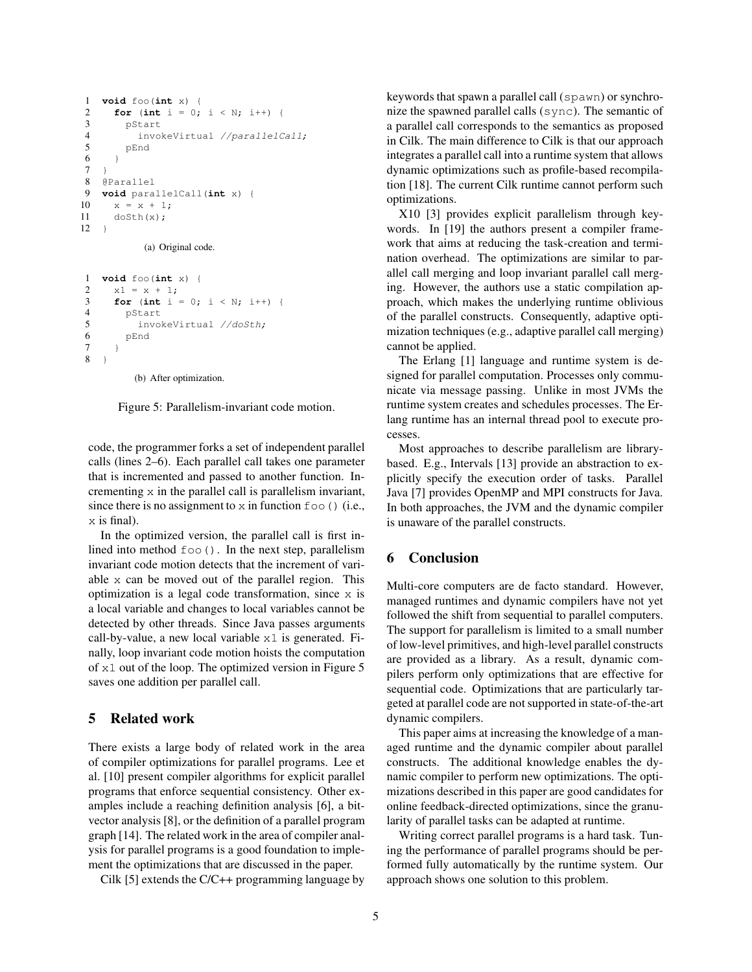```
1 void foo(int x) {
2 for (int i = 0; i < N; i++) {
          pStart
4 invokeVirtual //parallelCall;<br>5 pEnd
          5 pEnd
 6 }
\begin{array}{cc} 7 & \frac{1}{2} \\ 8 & 0 \end{array}8 @Parallel
9 void parallelCall(int x) {
10 \times x = x + 1:
11 doSth(x);
12 \quad \}
```
(a) Original code.

```
1 void foo(int x) {
2 x1 = x + 1;3 for (int i = 0; i < N; i++) {
4 pStart<br>5 invo
        invokeVirtual //doSth;
6 pEnd
7 }
8 }
```
(b) After optimization.

Figure 5: Parallelism-invariant code motion.

code, the programmer forks a set of independent parallel calls (lines 2–6). Each parallel call takes one parameter that is incremented and passed to another function. Incrementing x in the parallel call is parallelism invariant, since there is no assignment to  $x$  in function  $f \circ \circ$  () (i.e., x is final).

In the optimized version, the parallel call is first inlined into method  $f \circ \circ$  (). In the next step, parallelism invariant code motion detects that the increment of variable x can be moved out of the parallel region. This optimization is a legal code transformation, since x is a local variable and changes to local variables cannot be detected by other threads. Since Java passes arguments call-by-value, a new local variable  $x1$  is generated. Finally, loop invariant code motion hoists the computation of x1 out of the loop. The optimized version in Figure 5 saves one addition per parallel call.

### 5 Related work

There exists a large body of related work in the area of compiler optimizations for parallel programs. Lee et al. [10] present compiler algorithms for explicit parallel programs that enforce sequential consistency. Other examples include a reaching definition analysis [6], a bitvector analysis [8], or the definition of a parallel program graph [14]. The related work in the area of compiler analysis for parallel programs is a good foundation to implement the optimizations that are discussed in the paper.

Cilk [5] extends the C/C++ programming language by

keywords that spawn a parallel call (spawn) or synchronize the spawned parallel calls (sync). The semantic of a parallel call corresponds to the semantics as proposed in Cilk. The main difference to Cilk is that our approach integrates a parallel call into a runtime system that allows dynamic optimizations such as profile-based recompilation [18]. The current Cilk runtime cannot perform such optimizations.

X10 [3] provides explicit parallelism through keywords. In [19] the authors present a compiler framework that aims at reducing the task-creation and termination overhead. The optimizations are similar to parallel call merging and loop invariant parallel call merging. However, the authors use a static compilation approach, which makes the underlying runtime oblivious of the parallel constructs. Consequently, adaptive optimization techniques (e.g., adaptive parallel call merging) cannot be applied.

The Erlang [1] language and runtime system is designed for parallel computation. Processes only communicate via message passing. Unlike in most JVMs the runtime system creates and schedules processes. The Erlang runtime has an internal thread pool to execute processes.

Most approaches to describe parallelism are librarybased. E.g., Intervals [13] provide an abstraction to explicitly specify the execution order of tasks. Parallel Java [7] provides OpenMP and MPI constructs for Java. In both approaches, the JVM and the dynamic compiler is unaware of the parallel constructs.

### 6 Conclusion

Multi-core computers are de facto standard. However, managed runtimes and dynamic compilers have not yet followed the shift from sequential to parallel computers. The support for parallelism is limited to a small number of low-level primitives, and high-level parallel constructs are provided as a library. As a result, dynamic compilers perform only optimizations that are effective for sequential code. Optimizations that are particularly targeted at parallel code are not supported in state-of-the-art dynamic compilers.

This paper aims at increasing the knowledge of a managed runtime and the dynamic compiler about parallel constructs. The additional knowledge enables the dynamic compiler to perform new optimizations. The optimizations described in this paper are good candidates for online feedback-directed optimizations, since the granularity of parallel tasks can be adapted at runtime.

Writing correct parallel programs is a hard task. Tuning the performance of parallel programs should be performed fully automatically by the runtime system. Our approach shows one solution to this problem.